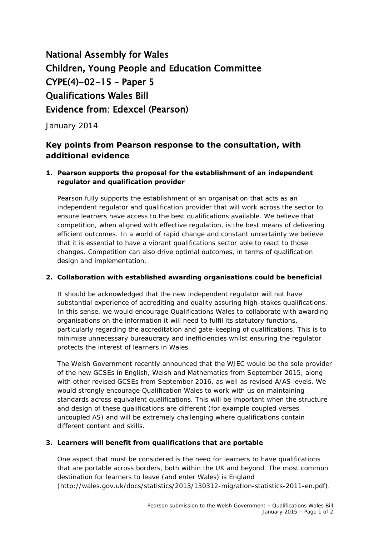### National Assembly for Wales Children, Young People and Education Committee CYPE(4)-02-15 – Paper 5 Qualifications Wales Bill Evidence from: Edexcel (Pearson)

January 2014

#### **Key points from Pearson response to the consultation, with additional evidence**

#### **1. Pearson supports the proposal for the establishment of an independent regulator and qualification provider**

Pearson fully supports the establishment of an organisation that acts as an independent regulator and qualification provider that will work across the sector to ensure learners have access to the best qualifications available. We believe that competition, when aligned with effective regulation, is the best means of delivering efficient outcomes. In a world of rapid change and constant uncertainty we believe that it is essential to have a vibrant qualifications sector able to react to those changes. Competition can also drive optimal outcomes, in terms of qualification design and implementation.

#### **2. Collaboration with established awarding organisations could be beneficial**

It should be acknowledged that the new independent regulator will not have substantial experience of accrediting and quality assuring high-stakes qualifications. In this sense, we would encourage Qualifications Wales to collaborate with awarding organisations on the information it will need to fulfil its statutory functions, particularly regarding the accreditation and gate-keeping of qualifications. This is to minimise unnecessary bureaucracy and inefficiencies whilst ensuring the regulator protects the interest of learners in Wales.

The Welsh Government recently announced that the WJEC would be the sole provider of the new GCSEs in English, Welsh and Mathematics from September 2015, along with other revised GCSEs from September 2016, as well as revised A/AS levels. We would strongly encourage Qualification Wales to work with us on maintaining standards across equivalent qualifications. This will be important when the structure and design of these qualifications are different (for example coupled verses uncoupled AS) and will be extremely challenging where qualifications contain different content and skills.

#### **3. Learners will benefit from qualifications that are portable**

One aspect that must be considered is the need for learners to have qualifications that are portable across borders, both within the UK and beyond. The most common destination for learners to leave (and enter Wales) is England (http://wales.gov.uk/docs/statistics/2013/130312-migration-statistics-2011-en.pdf).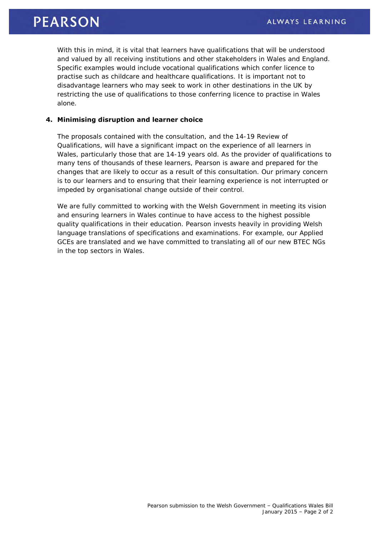With this in mind, it is vital that learners have qualifications that will be understood and valued by all receiving institutions and other stakeholders in Wales and England. Specific examples would include vocational qualifications which confer licence to practise such as childcare and healthcare qualifications. It is important not to disadvantage learners who may seek to work in other destinations in the UK by restricting the use of qualifications to those conferring licence to practise in Wales alone.

#### **4. Minimising disruption and learner choice**

The proposals contained with the consultation, and the 14-19 Review of Qualifications, will have a significant impact on the experience of all learners in Wales, particularly those that are 14-19 years old. As the provider of qualifications to many tens of thousands of these learners, Pearson is aware and prepared for the changes that are likely to occur as a result of this consultation. Our primary concern is to our learners and to ensuring that their learning experience is not interrupted or impeded by organisational change outside of their control.

We are fully committed to working with the Welsh Government in meeting its vision and ensuring learners in Wales continue to have access to the highest possible quality qualifications in their education. Pearson invests heavily in providing Welsh language translations of specifications and examinations. For example, our Applied GCEs are translated and we have committed to translating all of our new BTEC NGs in the top sectors in Wales.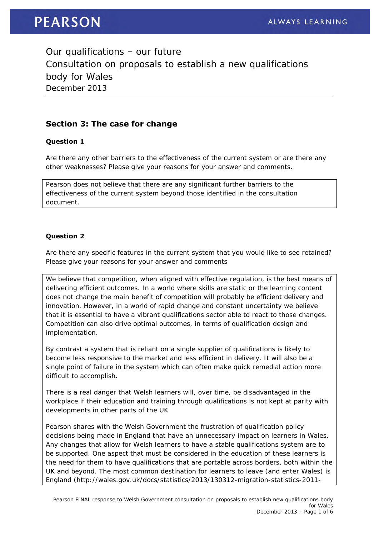Our qualifications – our future Consultation on proposals to establish a new qualifications body for Wales December 2013

#### **Section 3: The case for change**

#### **Question 1**

Are there any other barriers to the effectiveness of the current system or are there any other weaknesses? Please give your reasons for your answer and comments.

Pearson does not believe that there are any significant further barriers to the effectiveness of the current system beyond those identified in the consultation document.

#### **Question 2**

Are there any specific features in the current system that you would like to see retained? Please give your reasons for your answer and comments

We believe that competition, when aligned with effective regulation, is the best means of delivering efficient outcomes. In a world where skills are static or the learning content does not change the main benefit of competition will probably be efficient delivery and innovation. However, in a world of rapid change and constant uncertainty we believe that it is essential to have a vibrant qualifications sector able to react to those changes. Competition can also drive optimal outcomes, in terms of qualification design and implementation.

By contrast a system that is reliant on a single supplier of qualifications is likely to become less responsive to the market and less efficient in delivery. It will also be a single point of failure in the system which can often make quick remedial action more difficult to accomplish.

There is a real danger that Welsh learners will, over time, be disadvantaged in the workplace if their education and training through qualifications is not kept at parity with developments in other parts of the UK

Pearson shares with the Welsh Government the frustration of qualification policy decisions being made in England that have an unnecessary impact on learners in Wales. Any changes that allow for Welsh learners to have a stable qualifications system are to be supported. One aspect that must be considered in the education of these learners is the need for them to have qualifications that are portable across borders, both within the UK and beyond. The most common destination for learners to leave (and enter Wales) is England [\(http://wales.gov.uk/docs/statistics/2013/130312-migration-statistics-2011-](http://wales.gov.uk/docs/statistics/2013/130312-migration-statistics-2011-en.pdf)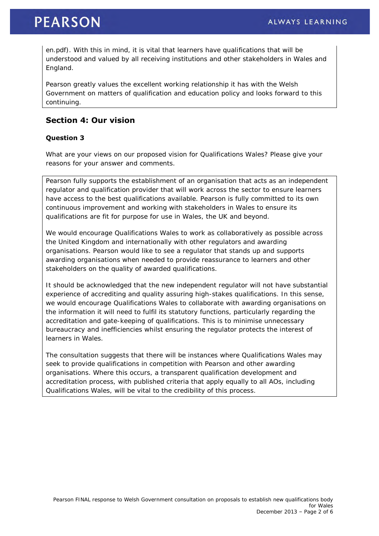[en.pdf\)](http://wales.gov.uk/docs/statistics/2013/130312-migration-statistics-2011-en.pdf). With this in mind, it is vital that learners have qualifications that will be understood and valued by all receiving institutions and other stakeholders in Wales and England.

Pearson greatly values the excellent working relationship it has with the Welsh Government on matters of qualification and education policy and looks forward to this continuing.

#### **Section 4: Our vision**

#### **Question 3**

What are your views on our proposed vision for Qualifications Wales? Please give your reasons for your answer and comments.

Pearson fully supports the establishment of an organisation that acts as an independent regulator and qualification provider that will work across the sector to ensure learners have access to the best qualifications available. Pearson is fully committed to its own continuous improvement and working with stakeholders in Wales to ensure its qualifications are fit for purpose for use in Wales, the UK and beyond.

We would encourage Qualifications Wales to work as collaboratively as possible across the United Kingdom and internationally with other regulators and awarding organisations. Pearson would like to see a regulator that stands up and supports awarding organisations when needed to provide reassurance to learners and other stakeholders on the quality of awarded qualifications.

It should be acknowledged that the new independent regulator will not have substantial experience of accrediting and quality assuring high-stakes qualifications. In this sense, we would encourage Qualifications Wales to collaborate with awarding organisations on the information it will need to fulfil its statutory functions, particularly regarding the accreditation and gate-keeping of qualifications. This is to minimise unnecessary bureaucracy and inefficiencies whilst ensuring the regulator protects the interest of learners in Wales.

The consultation suggests that there will be instances where Qualifications Wales may seek to provide qualifications in competition with Pearson and other awarding organisations. Where this occurs, a transparent qualification development and accreditation process, with published criteria that apply equally to all AOs, including Qualifications Wales, will be vital to the credibility of this process.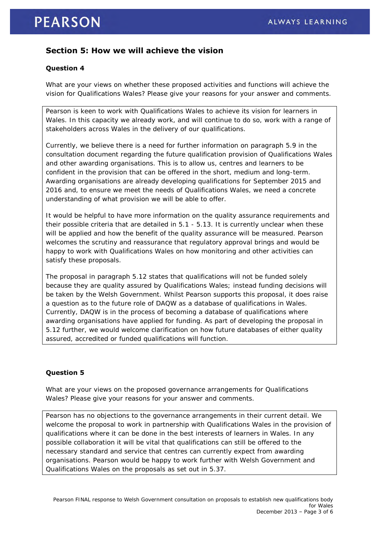#### **Section 5: How we will achieve the vision**

#### **Question 4**

What are your views on whether these proposed activities and functions will achieve the vision for Qualifications Wales? Please give your reasons for your answer and comments.

Pearson is keen to work with Qualifications Wales to achieve its vision for learners in Wales. In this capacity we already work, and will continue to do so, work with a range of stakeholders across Wales in the delivery of our qualifications.

Currently, we believe there is a need for further information on paragraph 5.9 in the consultation document regarding the future qualification provision of Qualifications Wales and other awarding organisations. This is to allow us, centres and learners to be confident in the provision that can be offered in the short, medium and long-term. Awarding organisations are already developing qualifications for September 2015 and 2016 and, to ensure we meet the needs of Qualifications Wales, we need a concrete understanding of what provision we will be able to offer.

It would be helpful to have more information on the quality assurance requirements and their possible criteria that are detailed in 5.1 - 5.13. It is currently unclear when these will be applied and how the benefit of the quality assurance will be measured. Pearson welcomes the scrutiny and reassurance that regulatory approval brings and would be happy to work with Qualifications Wales on how monitoring and other activities can satisfy these proposals.

The proposal in paragraph 5.12 states that qualifications will not be funded solely because they are quality assured by Qualifications Wales; instead funding decisions will be taken by the Welsh Government. Whilst Pearson supports this proposal, it does raise a question as to the future role of DAQW as a database of qualifications in Wales. Currently, DAQW is in the process of becoming a database of qualifications where awarding organisations have applied for funding. As part of developing the proposal in 5.12 further, we would welcome clarification on how future databases of either quality assured, accredited or funded qualifications will function.

#### **Question 5**

What are your views on the proposed governance arrangements for Qualifications Wales? Please give your reasons for your answer and comments.

Pearson has no objections to the governance arrangements in their current detail. We welcome the proposal to work in partnership with Qualifications Wales in the provision of qualifications where it can be done in the best interests of learners in Wales. In any possible collaboration it will be vital that qualifications can still be offered to the necessary standard and service that centres can currently expect from awarding organisations. Pearson would be happy to work further with Welsh Government and Qualifications Wales on the proposals as set out in 5.37.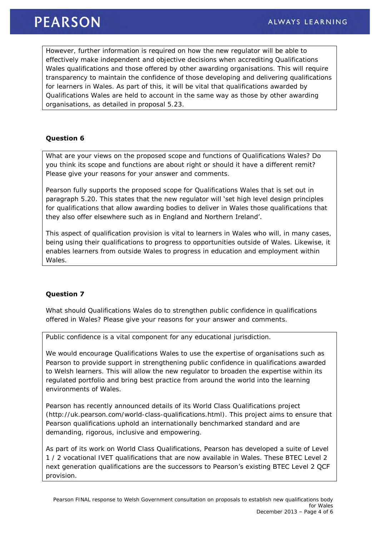However, further information is required on how the new regulator will be able to effectively make independent and objective decisions when accrediting Qualifications Wales qualifications and those offered by other awarding organisations. This will require transparency to maintain the confidence of those developing and delivering qualifications for learners in Wales. As part of this, it will be vital that qualifications awarded by Qualifications Wales are held to account in the same way as those by other awarding organisations, as detailed in proposal 5.23.

#### **Question 6**

What are your views on the proposed scope and functions of Qualifications Wales? Do you think its scope and functions are about right or should it have a different remit? Please give your reasons for your answer and comments.

Pearson fully supports the proposed scope for Qualifications Wales that is set out in paragraph 5.20. This states that the new regulator will 'set high level design principles for qualifications that allow awarding bodies to deliver in Wales those qualifications that they also offer elsewhere such as in England and Northern Ireland'.

This aspect of qualification provision is vital to learners in Wales who will, in many cases, being using their qualifications to progress to opportunities outside of Wales. Likewise, it enables learners from outside Wales to progress in education and employment within Wales.

#### **Question 7**

What should Qualifications Wales do to strengthen public confidence in qualifications offered in Wales? Please give your reasons for your answer and comments.

Public confidence is a vital component for any educational jurisdiction.

We would encourage Qualifications Wales to use the expertise of organisations such as Pearson to provide support in strengthening public confidence in qualifications awarded to Welsh learners. This will allow the new regulator to broaden the expertise within its regulated portfolio and bring best practice from around the world into the learning environments of Wales.

Pearson has recently announced details of its World Class Qualifications project [\(http://uk.pearson.com/world-class-qualifications.html\)](http://uk.pearson.com/world-class-qualifications.html). This project aims to ensure that Pearson qualifications uphold an internationally benchmarked standard and are demanding, rigorous, inclusive and empowering.

As part of its work on World Class Qualifications, Pearson has developed a suite of Level 1 / 2 vocational IVET qualifications that are now available in Wales. These BTEC Level 2 next generation qualifications are the successors to Pearson's existing BTEC Level 2 QCF provision.